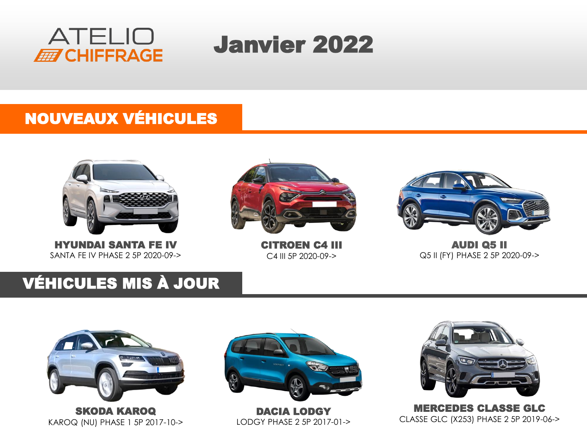



## NOUVEAUX VÉHICULES



HYUNDAI SANTA FE IV SANTA FE IV PHASE 2 5P 2020-09->



CITROEN C4 III C4 III 5P 2020-09->



AUDI Q5 II Q5 II (FY) PHASE 2 5P 2020-09->

## VÉHICULES MIS À JOUR





DACIA LODGY LODGY PHASE 2 5P 2017-01->



MERCEDES CLASSE GLC CLASSE GLC (X253) PHASE 2 5P 2019-06->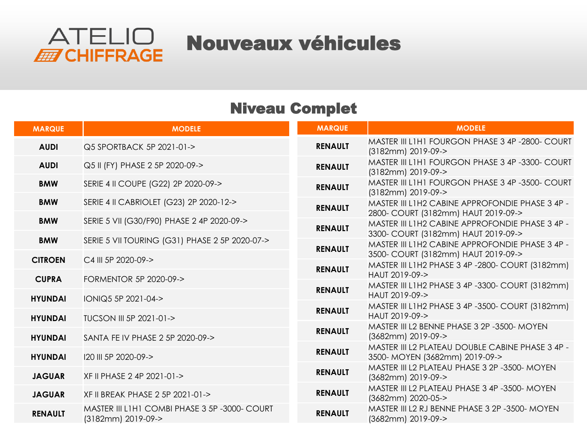

## Niveau Complet

| <b>MARQUE</b>  | <b>MODELE</b>                                                      | <b>MARQUE</b>  | <b>MODELE</b>                                                                           |
|----------------|--------------------------------------------------------------------|----------------|-----------------------------------------------------------------------------------------|
| <b>AUDI</b>    | Q5 SPORTBACK 5P 2021-01->                                          | <b>RENAULT</b> | MASTER III L1H1 FOURGON PHASE 3 4P -2800- COURT<br>(3182mm) 2019-09->                   |
| <b>AUDI</b>    | Q5 II (FY) PHASE 2 5P 2020-09->                                    | <b>RENAULT</b> | MASTER III L1H1 FOURGON PHASE 3 4P -3300- COURT<br>(3182mm) 2019-09->                   |
| <b>BMW</b>     | SERIE 4 II COUPE (G22) 2P 2020-09->                                | <b>RENAULT</b> | MASTER III L1H1 FOURGON PHASE 3 4P -3500- COURT<br>(3182mm) 2019-09->                   |
| <b>BMW</b>     | SERIE 4 II CABRIOLET (G23) 2P 2020-12->                            | <b>RENAULT</b> | MASTER III L1H2 CABINE APPROFONDIE PHASE 3 4P -<br>2800- COURT (3182mm) HAUT 2019-09->  |
| <b>BMW</b>     | SERIE 5 VII (G30/F90) PHASE 2 4P 2020-09->                         | <b>RENAULT</b> | MASTER III L1H2 CABINE APPROFONDIE PHASE 3 4P -<br>3300- COURT (3182mm) HAUT 2019-09->  |
| <b>BMW</b>     | SERIE 5 VII TOURING (G31) PHASE 2 5P 2020-07->                     | <b>RENAULT</b> | MASTER III L1H2 CABINE APPROFONDIE PHASE 3 4P -                                         |
| <b>CITROEN</b> | C4 III 5P 2020-09->                                                | <b>RENAULT</b> | 3500- COURT (3182mm) HAUT 2019-09-><br>MASTER III L1H2 PHASE 3 4P -2800- COURT (3182mm) |
| <b>CUPRA</b>   | <b>FORMENTOR 5P 2020-09-&gt;</b>                                   |                | HAUT 2019-09-><br>MASTER III L1H2 PHASE 3 4P -3300- COURT (3182mm)                      |
| <b>HYUNDAI</b> | IONIQ5 5P 2021-04->                                                | <b>RENAULT</b> | HAUT 2019-09->                                                                          |
| <b>HYUNDAI</b> | TUCSON III 5P 2021-01->                                            | <b>RENAULT</b> | MASTER III L1H2 PHASE 3 4P -3500- COURT (3182mm)<br>HAUT 2019-09->                      |
| <b>HYUNDAI</b> | SANTA FE IV PHASE 2 5P 2020-09->                                   | <b>RENAULT</b> | MASTER III L2 BENNE PHASE 3 2P -3500- MOYEN<br>(3682mm) 2019-09->                       |
| <b>HYUNDAI</b> | I20 III 5P 2020-09->                                               | <b>RENAULT</b> | MASTER III L2 PLATEAU DOUBLE CABINE PHASE 3 4P -<br>3500- MOYEN (3682mm) 2019-09->      |
| <b>JAGUAR</b>  | XF II PHASE 2 4P 2021-01->                                         | <b>RENAULT</b> | MASTER III L2 PLATEAU PHASE 3 2P -3500- MOYEN<br>(3682mm) 2019-09->                     |
| <b>JAGUAR</b>  | XF II BREAK PHASE 2 5P 2021-01->                                   | <b>RENAULT</b> | MASTER III L2 PLATEAU PHASE 3 4P -3500- MOYEN<br>(3682mm) 2020-05->                     |
| <b>RENAULT</b> | MASTER III L1H1 COMBI PHASE 3 5P-3000- COURT<br>(3182mm) 2019-09-> | <b>RENAULT</b> | MASTER III L2 RJ BENNE PHASE 3 2P -3500- MOYEN<br>(3682mm) 2019-09->                    |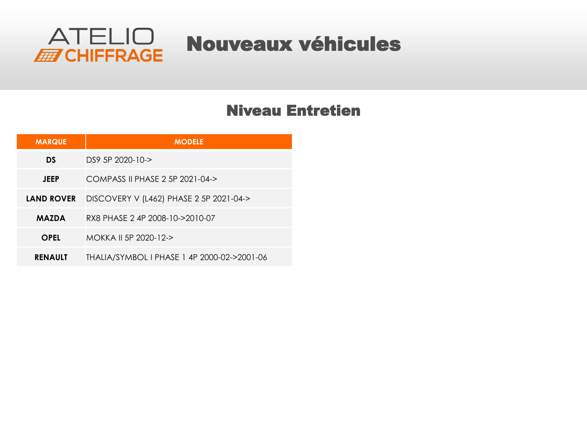

## Niveau Entretien

| <b>MARQUE</b>     | <b>MODELE</b>                               |
|-------------------|---------------------------------------------|
| DS                | $DS9$ 5P $2020 - 10 - 5$                    |
| <b>JEEP</b>       | COMPASS II PHASE 2 5P 2021-04->             |
| <b>LAND ROVER</b> | DISCOVERY V (L462) PHASE 2 5P 2021-04->     |
| <b>MAZDA</b>      | RX8 PHASE 2 4P 2008-10->2010-07             |
| <b>OPEL</b>       | MOKKA II 5P 2020-12->                       |
| <b>RENAULT</b>    | THALIA/SYMBOL I PHASE 1 4P 2000-02->2001-06 |